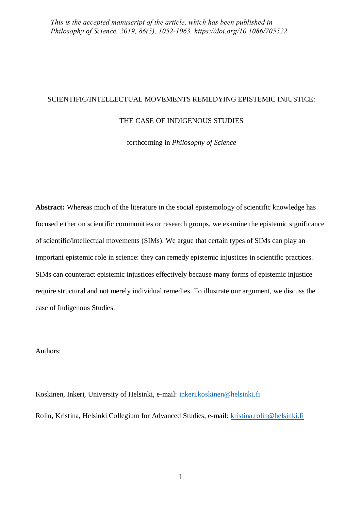# SCIENTIFIC/INTELLECTUAL MOVEMENTS REMEDYING EPISTEMIC INJUSTICE:

# THE CASE OF INDIGENOUS STUDIES

forthcoming in *Philosophy of Science*

**Abstract:** Whereas much of the literature in the social epistemology of scientific knowledge has focused either on scientific communities or research groups, we examine the epistemic significance of scientific/intellectual movements (SIMs). We argue that certain types of SIMs can play an important epistemic role in science: they can remedy epistemic injustices in scientific practices. SIMs can counteract epistemic injustices effectively because many forms of epistemic injustice require structural and not merely individual remedies. To illustrate our argument, we discuss the case of Indigenous Studies.

Authors:

Koskinen, Inkeri, University of Helsinki, e-mail: inkeri.koskinen@helsinki.fi Rolin, Kristina, Helsinki Collegium for Advanced Studies, e-mail: kristina.rolin@helsinki.fi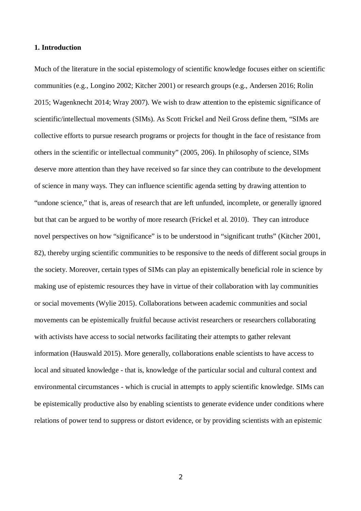### **1. Introduction**

Much of the literature in the social epistemology of scientific knowledge focuses either on scientific communities (e.g., Longino 2002; Kitcher 2001) or research groups (e.g., Andersen 2016; Rolin 2015; Wagenknecht 2014; Wray 2007). We wish to draw attention to the epistemic significance of scientific/intellectual movements (SIMs). As Scott Frickel and Neil Gross define them, "SIMs are collective efforts to pursue research programs or projects for thought in the face of resistance from others in the scientific or intellectual community" (2005, 206). In philosophy of science, SIMs deserve more attention than they have received so far since they can contribute to the development of science in many ways. They can influence scientific agenda setting by drawing attention to "undone science," that is, areas of research that are left unfunded, incomplete, or generally ignored but that can be argued to be worthy of more research (Frickel et al. 2010). They can introduce novel perspectives on how "significance" is to be understood in "significant truths" (Kitcher 2001, 82), thereby urging scientific communities to be responsive to the needs of different social groups in the society. Moreover, certain types of SIMs can play an epistemically beneficial role in science by making use of epistemic resources they have in virtue of their collaboration with lay communities or social movements (Wylie 2015). Collaborations between academic communities and social movements can be epistemically fruitful because activist researchers or researchers collaborating with activists have access to social networks facilitating their attempts to gather relevant information (Hauswald 2015). More generally, collaborations enable scientists to have access to local and situated knowledge - that is, knowledge of the particular social and cultural context and environmental circumstances - which is crucial in attempts to apply scientific knowledge. SIMs can be epistemically productive also by enabling scientists to generate evidence under conditions where relations of power tend to suppress or distort evidence, or by providing scientists with an epistemic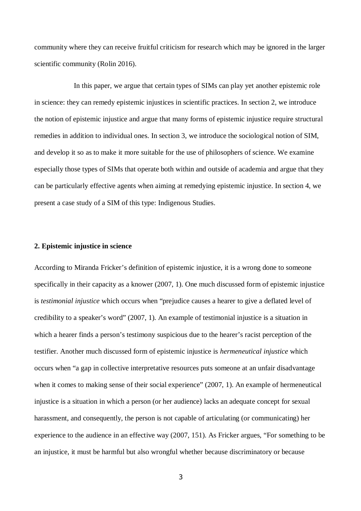community where they can receive fruitful criticism for research which may be ignored in the larger scientific community (Rolin 2016).

In this paper, we argue that certain types of SIMs can play yet another epistemic role in science: they can remedy epistemic injustices in scientific practices. In section 2, we introduce the notion of epistemic injustice and argue that many forms of epistemic injustice require structural remedies in addition to individual ones. In section 3, we introduce the sociological notion of SIM, and develop it so as to make it more suitable for the use of philosophers of science. We examine especially those types of SIMs that operate both within and outside of academia and argue that they can be particularly effective agents when aiming at remedying epistemic injustice. In section 4, we present a case study of a SIM of this type: Indigenous Studies.

### **2. Epistemic injustice in science**

According to Miranda Fricker's definition of epistemic injustice, it is a wrong done to someone specifically in their capacity as a knower (2007, 1). One much discussed form of epistemic injustice is *testimonial injustice* which occurs when "prejudice causes a hearer to give a deflated level of credibility to a speaker's word" (2007, 1). An example of testimonial injustice is a situation in which a hearer finds a person's testimony suspicious due to the hearer's racist perception of the testifier. Another much discussed form of epistemic injustice is *hermeneutical injustice* which occurs when "a gap in collective interpretative resources puts someone at an unfair disadvantage when it comes to making sense of their social experience" (2007, 1). An example of hermeneutical injustice is a situation in which a person (or her audience) lacks an adequate concept for sexual harassment, and consequently, the person is not capable of articulating (or communicating) her experience to the audience in an effective way (2007, 151). As Fricker argues, "For something to be an injustice, it must be harmful but also wrongful whether because discriminatory or because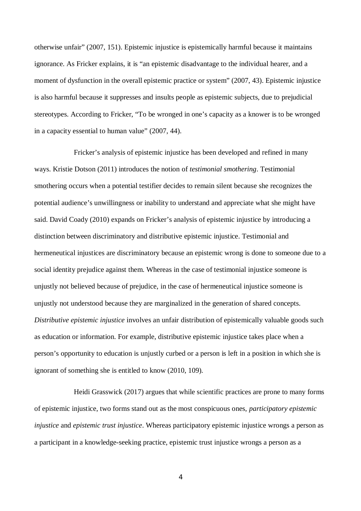otherwise unfair" (2007, 151). Epistemic injustice is epistemically harmful because it maintains ignorance. As Fricker explains, it is "an epistemic disadvantage to the individual hearer, and a moment of dysfunction in the overall epistemic practice or system" (2007, 43). Epistemic injustice is also harmful because it suppresses and insults people as epistemic subjects, due to prejudicial stereotypes. According to Fricker, "To be wronged in one's capacity as a knower is to be wronged in a capacity essential to human value" (2007, 44).

Fricker's analysis of epistemic injustice has been developed and refined in many ways. Kristie Dotson (2011) introduces the notion of *testimonial smothering*. Testimonial smothering occurs when a potential testifier decides to remain silent because she recognizes the potential audience's unwillingness or inability to understand and appreciate what she might have said. David Coady (2010) expands on Fricker's analysis of epistemic injustice by introducing a distinction between discriminatory and distributive epistemic injustice. Testimonial and hermeneutical injustices are discriminatory because an epistemic wrong is done to someone due to a social identity prejudice against them. Whereas in the case of testimonial injustice someone is unjustly not believed because of prejudice, in the case of hermeneutical injustice someone is unjustly not understood because they are marginalized in the generation of shared concepts. *Distributive epistemic injustice* involves an unfair distribution of epistemically valuable goods such as education or information. For example, distributive epistemic injustice takes place when a person's opportunity to education is unjustly curbed or a person is left in a position in which she is ignorant of something she is entitled to know (2010, 109).

Heidi Grasswick (2017) argues that while scientific practices are prone to many forms of epistemic injustice, two forms stand out as the most conspicuous ones, *participatory epistemic injustice* and *epistemic trust injustice*. Whereas participatory epistemic injustice wrongs a person as a participant in a knowledge-seeking practice, epistemic trust injustice wrongs a person as a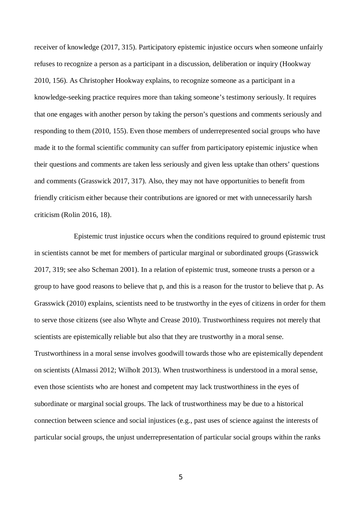receiver of knowledge (2017, 315). Participatory epistemic injustice occurs when someone unfairly refuses to recognize a person as a participant in a discussion, deliberation or inquiry (Hookway 2010, 156). As Christopher Hookway explains, to recognize someone as a participant in a knowledge-seeking practice requires more than taking someone's testimony seriously. It requires that one engages with another person by taking the person's questions and comments seriously and responding to them (2010, 155). Even those members of underrepresented social groups who have made it to the formal scientific community can suffer from participatory epistemic injustice when their questions and comments are taken less seriously and given less uptake than others' questions and comments (Grasswick 2017, 317). Also, they may not have opportunities to benefit from friendly criticism either because their contributions are ignored or met with unnecessarily harsh criticism (Rolin 2016, 18).

Epistemic trust injustice occurs when the conditions required to ground epistemic trust in scientists cannot be met for members of particular marginal or subordinated groups (Grasswick 2017, 319; see also Scheman 2001). In a relation of epistemic trust, someone trusts a person or a group to have good reasons to believe that p, and this is a reason for the trustor to believe that p. As Grasswick (2010) explains, scientists need to be trustworthy in the eyes of citizens in order for them to serve those citizens (see also Whyte and Crease 2010). Trustworthiness requires not merely that scientists are epistemically reliable but also that they are trustworthy in a moral sense. Trustworthiness in a moral sense involves goodwill towards those who are epistemically dependent on scientists (Almassi 2012; Wilholt 2013). When trustworthiness is understood in a moral sense, even those scientists who are honest and competent may lack trustworthiness in the eyes of subordinate or marginal social groups. The lack of trustworthiness may be due to a historical connection between science and social injustices (e.g., past uses of science against the interests of particular social groups, the unjust underrepresentation of particular social groups within the ranks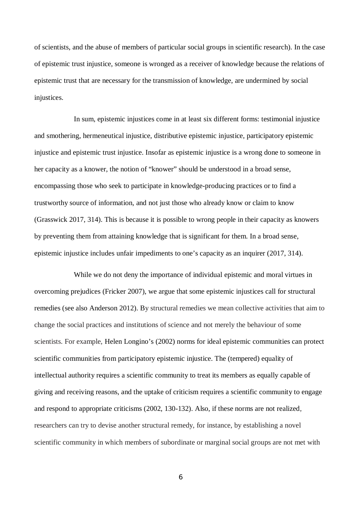of scientists, and the abuse of members of particular social groups in scientific research). In the case of epistemic trust injustice, someone is wronged as a receiver of knowledge because the relations of epistemic trust that are necessary for the transmission of knowledge, are undermined by social injustices.

In sum, epistemic injustices come in at least six different forms: testimonial injustice and smothering, hermeneutical injustice, distributive epistemic injustice, participatory epistemic injustice and epistemic trust injustice. Insofar as epistemic injustice is a wrong done to someone in her capacity as a knower, the notion of "knower" should be understood in a broad sense, encompassing those who seek to participate in knowledge-producing practices or to find a trustworthy source of information, and not just those who already know or claim to know (Grasswick 2017, 314). This is because it is possible to wrong people in their capacity as knowers by preventing them from attaining knowledge that is significant for them. In a broad sense, epistemic injustice includes unfair impediments to one's capacity as an inquirer (2017, 314).

While we do not deny the importance of individual epistemic and moral virtues in overcoming prejudices (Fricker 2007), we argue that some epistemic injustices call for structural remedies (see also Anderson 2012). By structural remedies we mean collective activities that aim to change the social practices and institutions of science and not merely the behaviour of some scientists. For example, Helen Longino's (2002) norms for ideal epistemic communities can protect scientific communities from participatory epistemic injustice. The (tempered) equality of intellectual authority requires a scientific community to treat its members as equally capable of giving and receiving reasons, and the uptake of criticism requires a scientific community to engage and respond to appropriate criticisms (2002, 130-132). Also, if these norms are not realized, researchers can try to devise another structural remedy, for instance, by establishing a novel scientific community in which members of subordinate or marginal social groups are not met with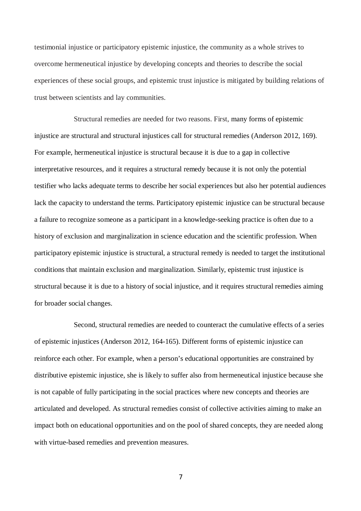testimonial injustice or participatory epistemic injustice, the community as a whole strives to overcome hermeneutical injustice by developing concepts and theories to describe the social experiences of these social groups, and epistemic trust injustice is mitigated by building relations of trust between scientists and lay communities.

Structural remedies are needed for two reasons. First, many forms of epistemic injustice are structural and structural injustices call for structural remedies (Anderson 2012, 169). For example, hermeneutical injustice is structural because it is due to a gap in collective interpretative resources, and it requires a structural remedy because it is not only the potential testifier who lacks adequate terms to describe her social experiences but also her potential audiences lack the capacity to understand the terms. Participatory epistemic injustice can be structural because a failure to recognize someone as a participant in a knowledge-seeking practice is often due to a history of exclusion and marginalization in science education and the scientific profession. When participatory epistemic injustice is structural, a structural remedy is needed to target the institutional conditions that maintain exclusion and marginalization. Similarly, epistemic trust injustice is structural because it is due to a history of social injustice, and it requires structural remedies aiming for broader social changes.

Second, structural remedies are needed to counteract the cumulative effects of a series of epistemic injustices (Anderson 2012, 164-165). Different forms of epistemic injustice can reinforce each other. For example, when a person's educational opportunities are constrained by distributive epistemic injustice, she is likely to suffer also from hermeneutical injustice because she is not capable of fully participating in the social practices where new concepts and theories are articulated and developed. As structural remedies consist of collective activities aiming to make an impact both on educational opportunities and on the pool of shared concepts, they are needed along with virtue-based remedies and prevention measures.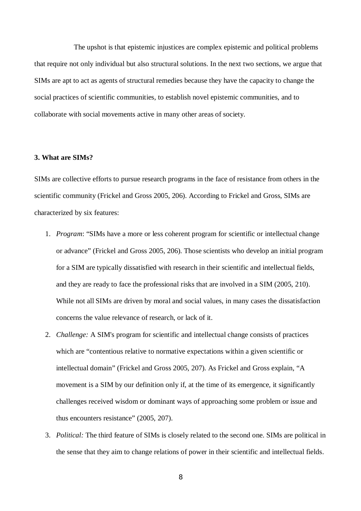The upshot is that epistemic injustices are complex epistemic and political problems that require not only individual but also structural solutions. In the next two sections, we argue that SIMs are apt to act as agents of structural remedies because they have the capacity to change the social practices of scientific communities, to establish novel epistemic communities, and to collaborate with social movements active in many other areas of society.

## **3. What are SIMs?**

SIMs are collective efforts to pursue research programs in the face of resistance from others in the scientific community (Frickel and Gross 2005, 206). According to Frickel and Gross, SIMs are characterized by six features:

- 1. *Program*: "SIMs have a more or less coherent program for scientific or intellectual change or advance" (Frickel and Gross 2005, 206). Those scientists who develop an initial program for a SIM are typically dissatisfied with research in their scientific and intellectual fields, and they are ready to face the professional risks that are involved in a SIM (2005, 210). While not all SIMs are driven by moral and social values, in many cases the dissatisfaction concerns the value relevance of research, or lack of it.
- 2. *Challenge:* A SIM's program for scientific and intellectual change consists of practices which are "contentious relative to normative expectations within a given scientific or intellectual domain" (Frickel and Gross 2005, 207). As Frickel and Gross explain, "A movement is a SIM by our definition only if, at the time of its emergence, it significantly challenges received wisdom or dominant ways of approaching some problem or issue and thus encounters resistance" (2005, 207).
- 3. *Political:* The third feature of SIMs is closely related to the second one. SIMs are political in the sense that they aim to change relations of power in their scientific and intellectual fields.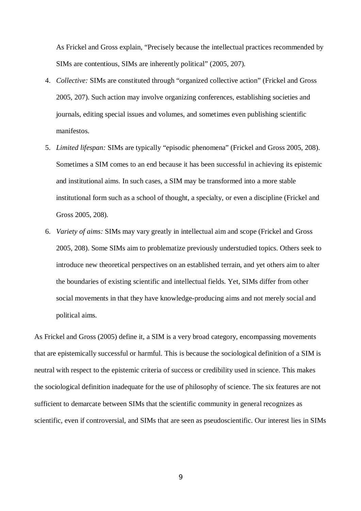As Frickel and Gross explain, "Precisely because the intellectual practices recommended by SIMs are contentious, SIMs are inherently political" (2005, 207).

- 4. *Collective:* SIMs are constituted through "organized collective action" (Frickel and Gross 2005, 207). Such action may involve organizing conferences, establishing societies and journals, editing special issues and volumes, and sometimes even publishing scientific manifestos.
- 5. *Limited lifespan:* SIMs are typically "episodic phenomena" (Frickel and Gross 2005, 208). Sometimes a SIM comes to an end because it has been successful in achieving its epistemic and institutional aims. In such cases, a SIM may be transformed into a more stable institutional form such as a school of thought, a specialty, or even a discipline (Frickel and Gross 2005, 208).
- 6. *Variety of aims:* SIMs may vary greatly in intellectual aim and scope (Frickel and Gross 2005, 208). Some SIMs aim to problematize previously understudied topics. Others seek to introduce new theoretical perspectives on an established terrain, and yet others aim to alter the boundaries of existing scientific and intellectual fields. Yet, SIMs differ from other social movements in that they have knowledge-producing aims and not merely social and political aims.

As Frickel and Gross (2005) define it, a SIM is a very broad category, encompassing movements that are epistemically successful or harmful. This is because the sociological definition of a SIM is neutral with respect to the epistemic criteria of success or credibility used in science. This makes the sociological definition inadequate for the use of philosophy of science. The six features are not sufficient to demarcate between SIMs that the scientific community in general recognizes as scientific, even if controversial, and SIMs that are seen as pseudoscientific. Our interest lies in SIMs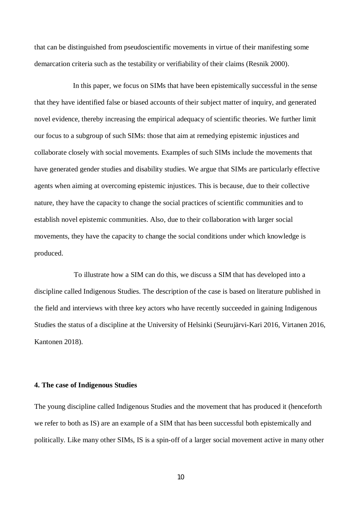that can be distinguished from pseudoscientific movements in virtue of their manifesting some demarcation criteria such as the testability or verifiability of their claims (Resnik 2000).

In this paper, we focus on SIMs that have been epistemically successful in the sense that they have identified false or biased accounts of their subject matter of inquiry, and generated novel evidence, thereby increasing the empirical adequacy of scientific theories. We further limit our focus to a subgroup of such SIMs: those that aim at remedying epistemic injustices and collaborate closely with social movements. Examples of such SIMs include the movements that have generated gender studies and disability studies. We argue that SIMs are particularly effective agents when aiming at overcoming epistemic injustices. This is because, due to their collective nature, they have the capacity to change the social practices of scientific communities and to establish novel epistemic communities. Also, due to their collaboration with larger social movements, they have the capacity to change the social conditions under which knowledge is produced.

To illustrate how a SIM can do this, we discuss a SIM that has developed into a discipline called Indigenous Studies. The description of the case is based on literature published in the field and interviews with three key actors who have recently succeeded in gaining Indigenous Studies the status of a discipline at the University of Helsinki (Seurujärvi-Kari 2016, Virtanen 2016, Kantonen 2018).

### **4. The case of Indigenous Studies**

The young discipline called Indigenous Studies and the movement that has produced it (henceforth we refer to both as IS) are an example of a SIM that has been successful both epistemically and politically. Like many other SIMs, IS is a spin-off of a larger social movement active in many other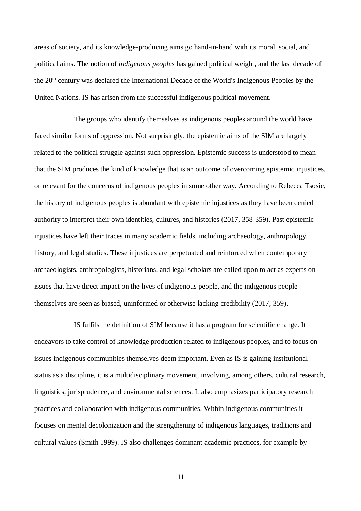areas of society, and its knowledge-producing aims go hand-in-hand with its moral, social, and political aims. The notion of *indigenous peoples* has gained political weight, and the last decade of the 20th century was declared the International Decade of the World's Indigenous Peoples by the United Nations. IS has arisen from the successful indigenous political movement.

The groups who identify themselves as indigenous peoples around the world have faced similar forms of oppression. Not surprisingly, the epistemic aims of the SIM are largely related to the political struggle against such oppression. Epistemic success is understood to mean that the SIM produces the kind of knowledge that is an outcome of overcoming epistemic injustices, or relevant for the concerns of indigenous peoples in some other way. According to Rebecca Tsosie, the history of indigenous peoples is abundant with epistemic injustices as they have been denied authority to interpret their own identities, cultures, and histories (2017, 358-359). Past epistemic injustices have left their traces in many academic fields, including archaeology, anthropology, history, and legal studies. These injustices are perpetuated and reinforced when contemporary archaeologists, anthropologists, historians, and legal scholars are called upon to act as experts on issues that have direct impact on the lives of indigenous people, and the indigenous people themselves are seen as biased, uninformed or otherwise lacking credibility (2017, 359).

IS fulfils the definition of SIM because it has a program for scientific change. It endeavors to take control of knowledge production related to indigenous peoples, and to focus on issues indigenous communities themselves deem important. Even as IS is gaining institutional status as a discipline, it is a multidisciplinary movement, involving, among others, cultural research, linguistics, jurisprudence, and environmental sciences. It also emphasizes participatory research practices and collaboration with indigenous communities. Within indigenous communities it focuses on mental decolonization and the strengthening of indigenous languages, traditions and cultural values (Smith 1999). IS also challenges dominant academic practices, for example by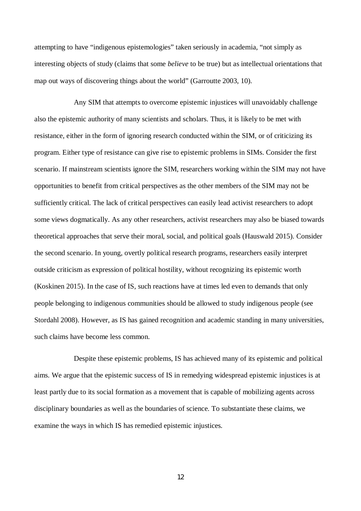attempting to have "indigenous epistemologies" taken seriously in academia, "not simply as interesting objects of study (claims that some *believe* to be true) but as intellectual orientations that map out ways of discovering things about the world" (Garroutte 2003, 10).

Any SIM that attempts to overcome epistemic injustices will unavoidably challenge also the epistemic authority of many scientists and scholars. Thus, it is likely to be met with resistance, either in the form of ignoring research conducted within the SIM, or of criticizing its program. Either type of resistance can give rise to epistemic problems in SIMs. Consider the first scenario. If mainstream scientists ignore the SIM, researchers working within the SIM may not have opportunities to benefit from critical perspectives as the other members of the SIM may not be sufficiently critical. The lack of critical perspectives can easily lead activist researchers to adopt some views dogmatically. As any other researchers, activist researchers may also be biased towards theoretical approaches that serve their moral, social, and political goals (Hauswald 2015). Consider the second scenario. In young, overtly political research programs, researchers easily interpret outside criticism as expression of political hostility, without recognizing its epistemic worth (Koskinen 2015). In the case of IS, such reactions have at times led even to demands that only people belonging to indigenous communities should be allowed to study indigenous people (see Stordahl 2008). However, as IS has gained recognition and academic standing in many universities, such claims have become less common.

Despite these epistemic problems, IS has achieved many of its epistemic and political aims. We argue that the epistemic success of IS in remedying widespread epistemic injustices is at least partly due to its social formation as a movement that is capable of mobilizing agents across disciplinary boundaries as well as the boundaries of science. To substantiate these claims, we examine the ways in which IS has remedied epistemic injustices.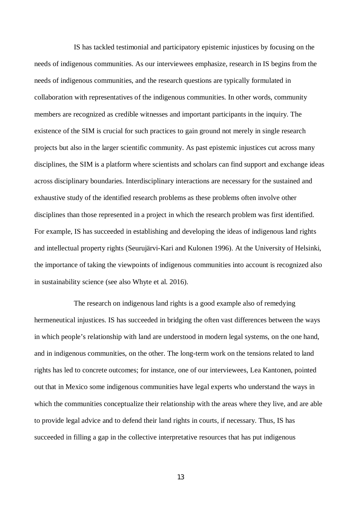IS has tackled testimonial and participatory epistemic injustices by focusing on the needs of indigenous communities. As our interviewees emphasize, research in IS begins from the needs of indigenous communities, and the research questions are typically formulated in collaboration with representatives of the indigenous communities. In other words, community members are recognized as credible witnesses and important participants in the inquiry. The existence of the SIM is crucial for such practices to gain ground not merely in single research projects but also in the larger scientific community. As past epistemic injustices cut across many disciplines, the SIM is a platform where scientists and scholars can find support and exchange ideas across disciplinary boundaries. Interdisciplinary interactions are necessary for the sustained and exhaustive study of the identified research problems as these problems often involve other disciplines than those represented in a project in which the research problem was first identified. For example, IS has succeeded in establishing and developing the ideas of indigenous land rights and intellectual property rights (Seurujärvi-Kari and Kulonen 1996). At the University of Helsinki, the importance of taking the viewpoints of indigenous communities into account is recognized also in sustainability science (see also Whyte et al. 2016).

The research on indigenous land rights is a good example also of remedying hermeneutical injustices. IS has succeeded in bridging the often vast differences between the ways in which people's relationship with land are understood in modern legal systems, on the one hand, and in indigenous communities, on the other. The long-term work on the tensions related to land rights has led to concrete outcomes; for instance, one of our interviewees, Lea Kantonen, pointed out that in Mexico some indigenous communities have legal experts who understand the ways in which the communities conceptualize their relationship with the areas where they live, and are able to provide legal advice and to defend their land rights in courts, if necessary. Thus, IS has succeeded in filling a gap in the collective interpretative resources that has put indigenous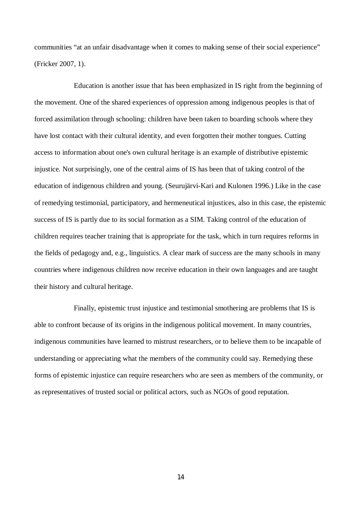communities "at an unfair disadvantage when it comes to making sense of their social experience" (Fricker 2007, 1).

Education is another issue that has been emphasized in IS right from the beginning of the movement. One of the shared experiences of oppression among indigenous peoples is that of forced assimilation through schooling: children have been taken to boarding schools where they have lost contact with their cultural identity, and even forgotten their mother tongues. Cutting access to information about one's own cultural heritage is an example of distributive epistemic injustice. Not surprisingly, one of the central aims of IS has been that of taking control of the education of indigenous children and young. (Seurujärvi-Kari and Kulonen 1996.) Like in the case of remedying testimonial, participatory, and hermeneutical injustices, also in this case, the epistemic success of IS is partly due to its social formation as a SIM. Taking control of the education of children requires teacher training that is appropriate for the task, which in turn requires reforms in the fields of pedagogy and, e.g., linguistics. A clear mark of success are the many schools in many countries where indigenous children now receive education in their own languages and are taught their history and cultural heritage.

Finally, epistemic trust injustice and testimonial smothering are problems that IS is able to confront because of its origins in the indigenous political movement. In many countries, indigenous communities have learned to mistrust researchers, or to believe them to be incapable of understanding or appreciating what the members of the community could say. Remedying these forms of epistemic injustice can require researchers who are seen as members of the community, or as representatives of trusted social or political actors, such as NGOs of good reputation.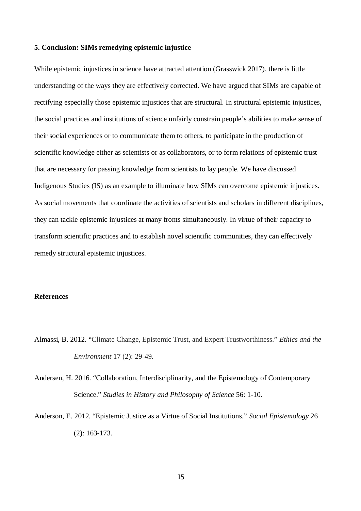### **5. Conclusion: SIMs remedying epistemic injustice**

While epistemic injustices in science have attracted attention (Grasswick 2017), there is little understanding of the ways they are effectively corrected. We have argued that SIMs are capable of rectifying especially those epistemic injustices that are structural. In structural epistemic injustices, the social practices and institutions of science unfairly constrain people's abilities to make sense of their social experiences or to communicate them to others, to participate in the production of scientific knowledge either as scientists or as collaborators, or to form relations of epistemic trust that are necessary for passing knowledge from scientists to lay people. We have discussed Indigenous Studies (IS) as an example to illuminate how SIMs can overcome epistemic injustices. As social movements that coordinate the activities of scientists and scholars in different disciplines, they can tackle epistemic injustices at many fronts simultaneously. In virtue of their capacity to transform scientific practices and to establish novel scientific communities, they can effectively remedy structural epistemic injustices.

#### **References**

- Almassi, B. 2012. "Climate Change, Epistemic Trust, and Expert Trustworthiness." *Ethics and the Environment* 17 (2): 29-49.
- Andersen, H. 2016. "Collaboration, Interdisciplinarity, and the Epistemology of Contemporary Science." *Studies in History and Philosophy of Science* 56: 1-10.
- Anderson, E. 2012. "Epistemic Justice as a Virtue of Social Institutions." *Social Epistemology* 26 (2): 163-173.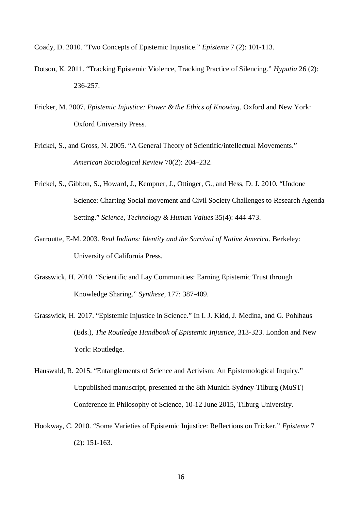Coady, D. 2010. "Two Concepts of Epistemic Injustice." *Episteme* 7 (2): 101-113.

- Dotson, K. 2011. "Tracking Epistemic Violence, Tracking Practice of Silencing." *Hypatia* 26 (2): 236-257.
- Fricker, M. 2007. *Epistemic Injustice: Power & the Ethics of Knowing*. Oxford and New York: Oxford University Press.
- Frickel, S., and Gross, N. 2005. "A General Theory of Scientific/intellectual Movements." *American Sociological Review* 70(2): 204–232.
- Frickel, S., Gibbon, S., Howard, J., Kempner, J., Ottinger, G., and Hess, D. J. 2010. "Undone Science: Charting Social movement and Civil Society Challenges to Research Agenda Setting." *Science, Technology & Human Values* 35(4): 444-473.
- Garroutte, E-M. 2003. *Real Indians: Identity and the Survival of Native America*. Berkeley: University of California Press.
- Grasswick, H. 2010. "Scientific and Lay Communities: Earning Epistemic Trust through Knowledge Sharing." *Synthese,* 177: 387-409.
- Grasswick, H. 2017. "Epistemic Injustice in Science." In I. J. Kidd, J. Medina, and G. Pohlhaus (Eds.), *The Routledge Handbook of Epistemic Injustice*, 313-323. London and New York: Routledge.
- Hauswald, R. 2015. "Entanglements of Science and Activism: An Epistemological Inquiry." Unpublished manuscript, presented at the 8th Munich-Sydney-Tilburg (MuST) Conference in Philosophy of Science, 10-12 June 2015, Tilburg University.
- Hookway, C. 2010. "Some Varieties of Epistemic Injustice: Reflections on Fricker." *Episteme* 7 (2): 151-163.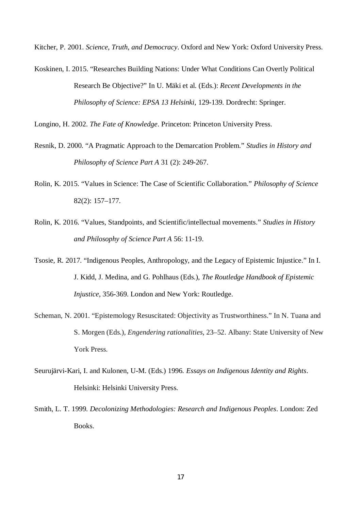Kitcher, P. 2001. *Science, Truth, and Democracy*. Oxford and New York: Oxford University Press.

Koskinen, I. 2015. "Researches Building Nations: Under What Conditions Can Overtly Political Research Be Objective?" In U. Mäki et al. (Eds.): *Recent Developments in the Philosophy of Science: EPSA 13 Helsinki*, 129-139. Dordrecht: Springer.

Longino, H. 2002. *The Fate of Knowledge*. Princeton: Princeton University Press.

- Resnik, D. 2000. "A Pragmatic Approach to the Demarcation Problem." *Studies in History and Philosophy of Science Part A* 31 (2): 249-267.
- Rolin, K. 2015. "Values in Science: The Case of Scientific Collaboration." *Philosophy of Science* 82(2): 157–177.
- Rolin, K. 2016. "Values, Standpoints, and Scientific/intellectual movements." *Studies in History and Philosophy of Science Part A* 56: 11-19.
- Tsosie, R. 2017. "Indigenous Peoples, Anthropology, and the Legacy of Epistemic Injustice." In I. J. Kidd, J. Medina, and G. Pohlhaus (Eds.), *The Routledge Handbook of Epistemic Injustice*, 356-369. London and New York: Routledge.
- Scheman, N. 2001. "Epistemology Resuscitated: Objectivity as Trustworthiness." In N. Tuana and S. Morgen (Eds.), *Engendering rationalities*, 23–52. Albany: State University of New York Press.
- Seurujärvi-Kari, I. and Kulonen, U-M. (Eds.) 1996. *Essays on Indigenous Identity and Rights*. Helsinki: Helsinki University Press.
- Smith, L. T. 1999. *Decolonizing Methodologies: Research and Indigenous Peoples*. London: Zed Books.